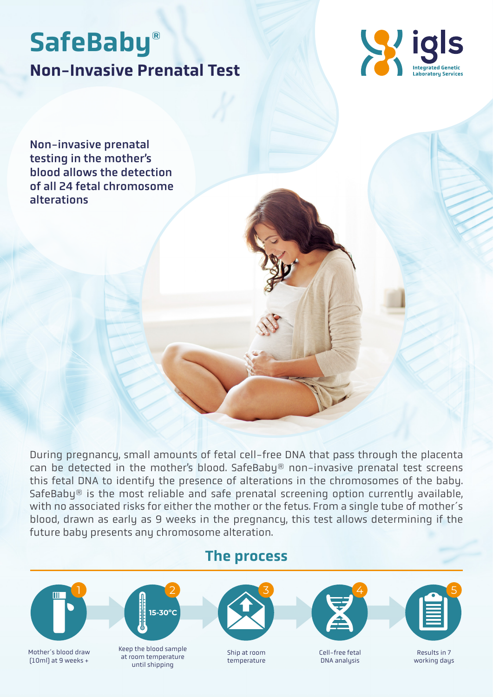# Non-Invasive Prenatal Test SafeBaby®



Non-invasive prenatal testing in the mother's blood allows the detection of all 24 fetal chromosome alterations

During pregnancy, small amounts of fetal cell-free DNA that pass through the placenta can be detected in the mother's blood. SafeBaby® non-invasive prenatal test screens this fetal DNA to identify the presence of alterations in the chromosomes of the baby. SafeBaby<sup>®</sup> is the most reliable and safe prenatal screening option currently available, with no associated risks for either the mother or the fetus. From a single tube of mother´s blood, drawn as early as 9 weeks in the pregnancy, this test allows determining if the future baby presents any chromosome alteration.

#### The process



Mother´s blood draw (10ml) at 9 weeks +



Keep the blood sample at room temperature until shipping



Ship at room temperature



Cell-free fetal DNA analysis



Results in 7 working days